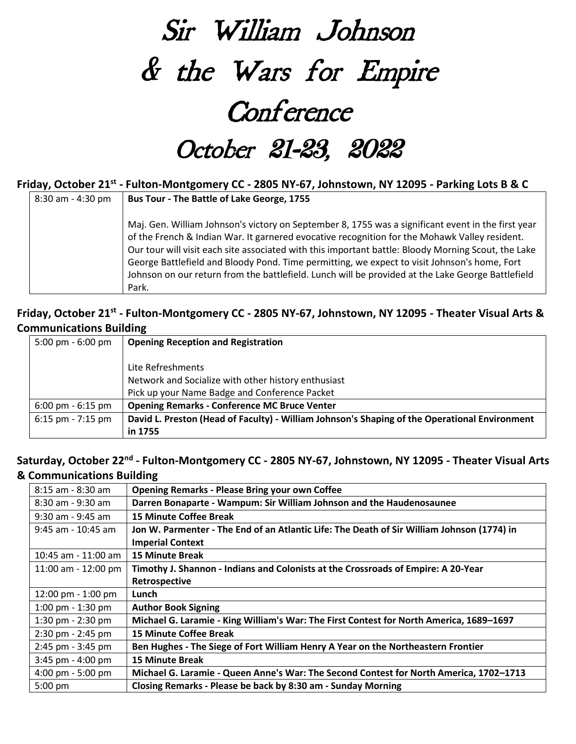# Sir William Johnson & the Wars for Empire **Conference** October 21-23, 2022

#### **Friday, October 21st - Fulton-Montgomery CC - 2805 NY-67, Johnstown, NY 12095 - Parking Lots B & C**

| 8:30 am - 4:30 pm | Bus Tour - The Battle of Lake George, 1755                                                          |
|-------------------|-----------------------------------------------------------------------------------------------------|
|                   |                                                                                                     |
|                   | Maj. Gen. William Johnson's victory on September 8, 1755 was a significant event in the first year  |
|                   | of the French & Indian War. It garnered evocative recognition for the Mohawk Valley resident.       |
|                   | Our tour will visit each site associated with this important battle: Bloody Morning Scout, the Lake |
|                   | George Battlefield and Bloody Pond. Time permitting, we expect to visit Johnson's home, Fort        |
|                   | Johnson on our return from the battlefield. Lunch will be provided at the Lake George Battlefield   |
|                   | Park.                                                                                               |

#### **Friday, October 21st - Fulton-Montgomery CC - 2805 NY-67, Johnstown, NY 12095 - Theater Visual Arts & Communications Building**

| 5:00 pm $-6:00$ pm                  | <b>Opening Reception and Registration</b>                                                     |
|-------------------------------------|-----------------------------------------------------------------------------------------------|
|                                     |                                                                                               |
|                                     | Lite Refreshments                                                                             |
|                                     | Network and Socialize with other history enthusiast                                           |
|                                     | Pick up your Name Badge and Conference Packet                                                 |
| $6:00 \text{ pm} - 6:15 \text{ pm}$ | <b>Opening Remarks - Conference MC Bruce Venter</b>                                           |
| $6:15$ pm - 7:15 pm                 | David L. Preston (Head of Faculty) - William Johnson's Shaping of the Operational Environment |
|                                     | in 1755                                                                                       |

#### **Saturday, October 22nd - Fulton-Montgomery CC - 2805 NY-67, Johnstown, NY 12095 - Theater Visual Arts & Communications Building**

| $8:15$ am - $8:30$ am   | <b>Opening Remarks - Please Bring your own Coffee</b>                                      |
|-------------------------|--------------------------------------------------------------------------------------------|
| $8:30$ am - 9:30 am     | Darren Bonaparte - Wampum: Sir William Johnson and the Haudenosaunee                       |
| 9:30 am - 9:45 am       | <b>15 Minute Coffee Break</b>                                                              |
| 9:45 am - 10:45 am      | Jon W. Parmenter - The End of an Atlantic Life: The Death of Sir William Johnson (1774) in |
|                         | <b>Imperial Context</b>                                                                    |
| $10:45$ am - $11:00$ am | <b>15 Minute Break</b>                                                                     |
| 11:00 am - 12:00 pm     | Timothy J. Shannon - Indians and Colonists at the Crossroads of Empire: A 20-Year          |
|                         | Retrospective                                                                              |
| 12:00 pm - 1:00 pm      | Lunch                                                                                      |
| 1:00 pm $-$ 1:30 pm     | <b>Author Book Signing</b>                                                                 |
| 1:30 pm $-$ 2:30 pm     | Michael G. Laramie - King William's War: The First Contest for North America, 1689–1697    |
| $2:30$ pm - $2:45$ pm   | <b>15 Minute Coffee Break</b>                                                              |
| $2:45$ pm - $3:45$ pm   | Ben Hughes - The Siege of Fort William Henry A Year on the Northeastern Frontier           |
| $3:45$ pm - $4:00$ pm   | <b>15 Minute Break</b>                                                                     |
| 4:00 pm - 5:00 pm       | Michael G. Laramie - Queen Anne's War: The Second Contest for North America, 1702-1713     |
| $5:00$ pm               | Closing Remarks - Please be back by 8:30 am - Sunday Morning                               |